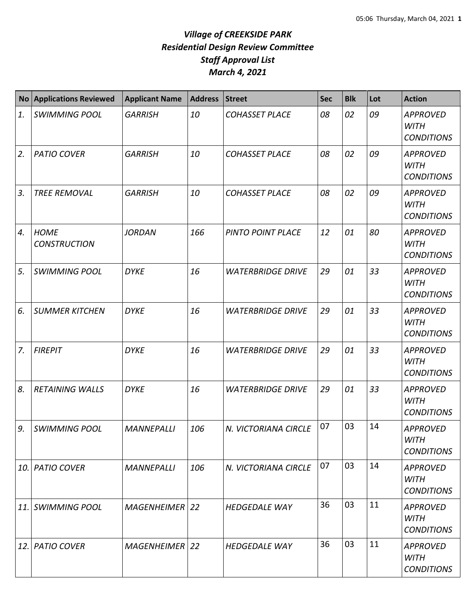| <b>No</b> | <b>Applications Reviewed</b>       | <b>Applicant Name</b> | <b>Address</b> | <b>Street</b>            | <b>Sec</b> | <b>Blk</b> | Lot | <b>Action</b>                                       |
|-----------|------------------------------------|-----------------------|----------------|--------------------------|------------|------------|-----|-----------------------------------------------------|
| 1.        | <b>SWIMMING POOL</b>               | <b>GARRISH</b>        | 10             | <b>COHASSET PLACE</b>    | 08         | 02         | 09  | <b>APPROVED</b><br><b>WITH</b><br><b>CONDITIONS</b> |
| 2.        | <b>PATIO COVER</b>                 | <b>GARRISH</b>        | 10             | <b>COHASSET PLACE</b>    | 08         | 02         | 09  | <b>APPROVED</b><br><b>WITH</b><br><b>CONDITIONS</b> |
| 3.        | <b>TREE REMOVAL</b>                | <b>GARRISH</b>        | 10             | <b>COHASSET PLACE</b>    | 08         | 02         | 09  | <b>APPROVED</b><br><b>WITH</b><br><b>CONDITIONS</b> |
| 4.        | <b>HOME</b><br><b>CONSTRUCTION</b> | <b>JORDAN</b>         | 166            | PINTO POINT PLACE        | 12         | 01         | 80  | <b>APPROVED</b><br><b>WITH</b><br><b>CONDITIONS</b> |
| 5.        | <b>SWIMMING POOL</b>               | <b>DYKE</b>           | 16             | <b>WATERBRIDGE DRIVE</b> | 29         | 01         | 33  | <b>APPROVED</b><br><b>WITH</b><br><b>CONDITIONS</b> |
| 6.        | <b>SUMMER KITCHEN</b>              | <b>DYKE</b>           | 16             | <b>WATERBRIDGE DRIVE</b> | 29         | 01         | 33  | <b>APPROVED</b><br><b>WITH</b><br><b>CONDITIONS</b> |
| 7.        | <b>FIREPIT</b>                     | <b>DYKE</b>           | 16             | <b>WATERBRIDGE DRIVE</b> | 29         | 01         | 33  | <b>APPROVED</b><br><b>WITH</b><br><b>CONDITIONS</b> |
| 8.        | <b>RETAINING WALLS</b>             | <b>DYKE</b>           | 16             | <b>WATERBRIDGE DRIVE</b> | 29         | 01         | 33  | <b>APPROVED</b><br><b>WITH</b><br><b>CONDITIONS</b> |
| 9.        | <b>SWIMMING POOL</b>               | <b>MANNEPALLI</b>     | 106            | N. VICTORIANA CIRCLE     | 07         | 03         | 14  | <b>APPROVED</b><br><b>WITH</b><br><b>CONDITIONS</b> |
| 10.       | <b>PATIO COVER</b>                 | <b>MANNEPALLI</b>     | 106            | N. VICTORIANA CIRCLE     | 07         | 03         | 14  | <b>APPROVED</b><br>WITH<br><b>CONDITIONS</b>        |
| 11.       | <b>SWIMMING POOL</b>               | <b>MAGENHEIMER 22</b> |                | <b>HEDGEDALE WAY</b>     | 36         | 03         | 11  | <b>APPROVED</b><br><b>WITH</b><br><b>CONDITIONS</b> |
| 12.       | <b>PATIO COVER</b>                 | <b>MAGENHEIMER 22</b> |                | <b>HEDGEDALE WAY</b>     | 36         | 03         | 11  | <b>APPROVED</b><br><b>WITH</b><br><b>CONDITIONS</b> |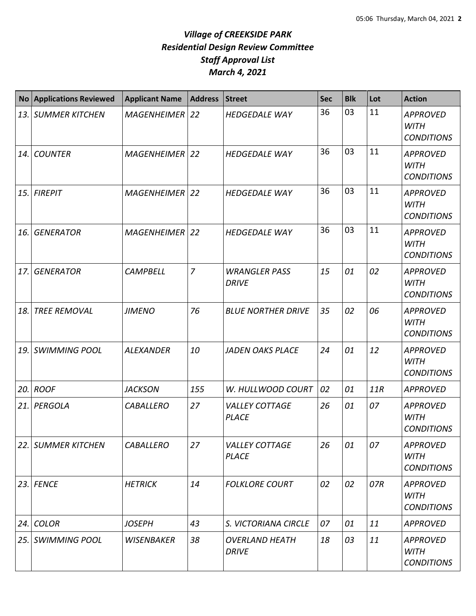|            | <b>No Applications Reviewed</b> | <b>Applicant Name</b> | <b>Address</b> | <b>Street</b>                         | <b>Sec</b> | <b>Blk</b> | Lot | <b>Action</b>                                       |
|------------|---------------------------------|-----------------------|----------------|---------------------------------------|------------|------------|-----|-----------------------------------------------------|
|            | 13. SUMMER KITCHEN              | MAGENHEIMER 22        |                | <b>HEDGEDALE WAY</b>                  | 36         | 03         | 11  | <b>APPROVED</b><br><b>WITH</b><br><b>CONDITIONS</b> |
| 14.        | <b>COUNTER</b>                  | MAGENHEIMER 22        |                | <b>HEDGEDALE WAY</b>                  | 36         | 03         | 11  | <b>APPROVED</b><br><b>WITH</b><br><b>CONDITIONS</b> |
| <b>15.</b> | <b>FIREPIT</b>                  | <b>MAGENHEIMER</b>    | <b>22</b>      | <b>HEDGEDALE WAY</b>                  | 36         | 03         | 11  | <b>APPROVED</b><br><b>WITH</b><br><b>CONDITIONS</b> |
| 16.        | <b>GENERATOR</b>                | <b>MAGENHEIMER</b>    | 22             | <b>HEDGEDALE WAY</b>                  | 36         | 03         | 11  | <b>APPROVED</b><br><b>WITH</b><br><b>CONDITIONS</b> |
| 17.        | <b>GENERATOR</b>                | <b>CAMPBELL</b>       | $\overline{7}$ | <b>WRANGLER PASS</b><br><b>DRIVE</b>  | 15         | 01         | 02  | <b>APPROVED</b><br><b>WITH</b><br><b>CONDITIONS</b> |
| 18.        | <b>TREE REMOVAL</b>             | <b>JIMENO</b>         | 76             | <b>BLUE NORTHER DRIVE</b>             | 35         | 02         | 06  | <b>APPROVED</b><br><b>WITH</b><br><b>CONDITIONS</b> |
| 19.        | <b>SWIMMING POOL</b>            | <b>ALEXANDER</b>      | 10             | <b>JADEN OAKS PLACE</b>               | 24         | 01         | 12  | <b>APPROVED</b><br><b>WITH</b><br><b>CONDITIONS</b> |
| 20.        | <b>ROOF</b>                     | <b>JACKSON</b>        | 155            | W. HULLWOOD COURT                     | 02         | 01         | 11R | <b>APPROVED</b>                                     |
| 21.        | PERGOLA                         | <b>CABALLERO</b>      | 27             | <b>VALLEY COTTAGE</b><br><b>PLACE</b> | 26         | 01         | 07  | <b>APPROVED</b><br><b>WITH</b><br><b>CONDITIONS</b> |
| 22.        | <b>SUMMER KITCHEN</b>           | CABALLERO             | 27             | <b>VALLEY COTTAGE</b><br><b>PLACE</b> | 26         | 01         | 07  | <b>APPROVED</b><br><b>WITH</b><br><b>CONDITIONS</b> |
|            | $23.$ FENCE                     | <b>HETRICK</b>        | 14             | <b>FOLKLORE COURT</b>                 | 02         | 02         | 07R | <b>APPROVED</b><br><b>WITH</b><br><b>CONDITIONS</b> |
| 24.        | <b>COLOR</b>                    | <b>JOSEPH</b>         | 43             | S. VICTORIANA CIRCLE                  | 07         | 01         | 11  | <b>APPROVED</b>                                     |
| 25.        | <b>SWIMMING POOL</b>            | <b>WISENBAKER</b>     | 38             | <b>OVERLAND HEATH</b><br><b>DRIVE</b> | 18         | 03         | 11  | <b>APPROVED</b><br><b>WITH</b><br><b>CONDITIONS</b> |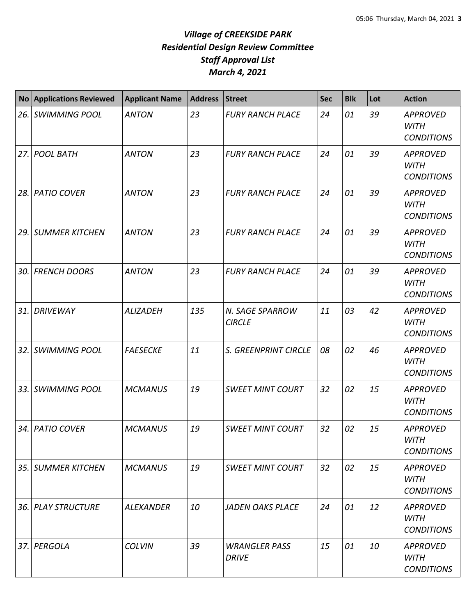| <b>No</b> | <b>Applications Reviewed</b> | <b>Applicant Name</b> | <b>Address</b> | <b>Street</b>                        | <b>Sec</b> | <b>Blk</b> | Lot | <b>Action</b>                                       |
|-----------|------------------------------|-----------------------|----------------|--------------------------------------|------------|------------|-----|-----------------------------------------------------|
| 26.       | <b>SWIMMING POOL</b>         | <b>ANTON</b>          | 23             | <b>FURY RANCH PLACE</b>              | 24         | 01         | 39  | <b>APPROVED</b><br><b>WITH</b><br><b>CONDITIONS</b> |
| 27.       | <b>POOL BATH</b>             | <b>ANTON</b>          | 23             | <b>FURY RANCH PLACE</b>              | 24         | 01         | 39  | <b>APPROVED</b><br><b>WITH</b><br><b>CONDITIONS</b> |
| 28.       | <b>PATIO COVER</b>           | <b>ANTON</b>          | 23             | <b>FURY RANCH PLACE</b>              | 24         | 01         | 39  | <b>APPROVED</b><br><b>WITH</b><br><b>CONDITIONS</b> |
| 29.       | <b>SUMMER KITCHEN</b>        | <b>ANTON</b>          | 23             | <b>FURY RANCH PLACE</b>              | 24         | 01         | 39  | <b>APPROVED</b><br><b>WITH</b><br><b>CONDITIONS</b> |
| 30.       | <b>FRENCH DOORS</b>          | <b>ANTON</b>          | 23             | <b>FURY RANCH PLACE</b>              | 24         | 01         | 39  | <b>APPROVED</b><br><b>WITH</b><br><b>CONDITIONS</b> |
| 31.       | <b>DRIVEWAY</b>              | <b>ALIZADEH</b>       | 135            | N. SAGE SPARROW<br><b>CIRCLE</b>     | 11         | 03         | 42  | <b>APPROVED</b><br><b>WITH</b><br><b>CONDITIONS</b> |
| 32.       | <b>SWIMMING POOL</b>         | <b>FAESECKE</b>       | 11             | S. GREENPRINT CIRCLE                 | 08         | 02         | 46  | <b>APPROVED</b><br><b>WITH</b><br><b>CONDITIONS</b> |
| 33.       | <b>SWIMMING POOL</b>         | <b>MCMANUS</b>        | 19             | <b>SWEET MINT COURT</b>              | 32         | 02         | 15  | <b>APPROVED</b><br><b>WITH</b><br><b>CONDITIONS</b> |
| 34.       | <b>PATIO COVER</b>           | <b>MCMANUS</b>        | 19             | <b>SWEET MINT COURT</b>              | 32         | 02         | 15  | <b>APPROVED</b><br>WITH<br><b>CONDITIONS</b>        |
| 35.       | <b>SUMMER KITCHEN</b>        | <b>MCMANUS</b>        | 19             | <b>SWEET MINT COURT</b>              | 32         | 02         | 15  | <b>APPROVED</b><br><b>WITH</b><br><b>CONDITIONS</b> |
| 36.       | <b>PLAY STRUCTURE</b>        | <b>ALEXANDER</b>      | 10             | <b>JADEN OAKS PLACE</b>              | 24         | 01         | 12  | <b>APPROVED</b><br><b>WITH</b><br><b>CONDITIONS</b> |
| 37.       | PERGOLA                      | <b>COLVIN</b>         | 39             | <b>WRANGLER PASS</b><br><b>DRIVE</b> | 15         | 01         | 10  | <b>APPROVED</b><br><b>WITH</b><br><b>CONDITIONS</b> |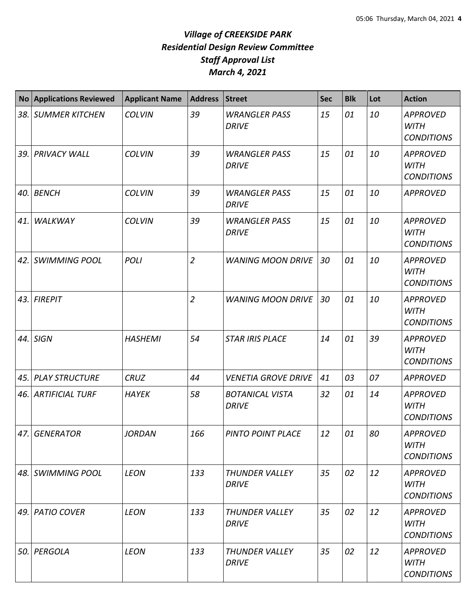| <b>No</b> | <b>Applications Reviewed</b> | <b>Applicant Name</b> | <b>Address</b> | <b>Street</b>                          | <b>Sec</b> | <b>Blk</b> | Lot | <b>Action</b>                                       |
|-----------|------------------------------|-----------------------|----------------|----------------------------------------|------------|------------|-----|-----------------------------------------------------|
| 38.       | <b>SUMMER KITCHEN</b>        | <b>COLVIN</b>         | 39             | <b>WRANGLER PASS</b><br><b>DRIVE</b>   | 15         | 01         | 10  | <b>APPROVED</b><br><b>WITH</b><br><b>CONDITIONS</b> |
| 39.       | <b>PRIVACY WALL</b>          | <b>COLVIN</b>         | 39             | <b>WRANGLER PASS</b><br><b>DRIVE</b>   | 15         | 01         | 10  | <b>APPROVED</b><br><b>WITH</b><br><b>CONDITIONS</b> |
| 40.       | <b>BENCH</b>                 | <b>COLVIN</b>         | 39             | <b>WRANGLER PASS</b><br><b>DRIVE</b>   | 15         | 01         | 10  | <b>APPROVED</b>                                     |
| 41.       | WALKWAY                      | <b>COLVIN</b>         | 39             | <b>WRANGLER PASS</b><br><b>DRIVE</b>   | 15         | 01         | 10  | <b>APPROVED</b><br><b>WITH</b><br><b>CONDITIONS</b> |
| 42.       | <b>SWIMMING POOL</b>         | <b>POLI</b>           | $\overline{2}$ | <b>WANING MOON DRIVE</b>               | 30         | 01         | 10  | <b>APPROVED</b><br><b>WITH</b><br><b>CONDITIONS</b> |
| 43.       | <b>FIREPIT</b>               |                       | $\overline{2}$ | <b>WANING MOON DRIVE</b>               | 30         | 01         | 10  | <b>APPROVED</b><br><b>WITH</b><br><b>CONDITIONS</b> |
| 44.       | <b>SIGN</b>                  | <b>HASHEMI</b>        | 54             | <b>STAR IRIS PLACE</b>                 | 14         | 01         | 39  | <b>APPROVED</b><br><b>WITH</b><br><b>CONDITIONS</b> |
| 45.       | <b>PLAY STRUCTURE</b>        | <b>CRUZ</b>           | 44             | <b>VENETIA GROVE DRIVE</b>             | 41         | 03         | 07  | <b>APPROVED</b>                                     |
| 46.       | <b>ARTIFICIAL TURF</b>       | <b>HAYEK</b>          | 58             | <b>BOTANICAL VISTA</b><br><b>DRIVE</b> | 32         | 01         | 14  | <b>APPROVED</b><br><b>WITH</b><br><b>CONDITIONS</b> |
| 47.       | <b>GENERATOR</b>             | <b>JORDAN</b>         | 166            | PINTO POINT PLACE                      | 12         | 01         | 80  | <b>APPROVED</b><br><b>WITH</b><br><b>CONDITIONS</b> |
|           | 48. SWIMMING POOL            | <b>LEON</b>           | 133            | <b>THUNDER VALLEY</b><br><b>DRIVE</b>  | 35         | 02         | 12  | <b>APPROVED</b><br>WITH<br><b>CONDITIONS</b>        |
| 49.       | <b>PATIO COVER</b>           | <b>LEON</b>           | 133            | <b>THUNDER VALLEY</b><br><b>DRIVE</b>  | 35         | 02         | 12  | <b>APPROVED</b><br><b>WITH</b><br><b>CONDITIONS</b> |
| 50.       | PERGOLA                      | <b>LEON</b>           | 133            | <b>THUNDER VALLEY</b><br><b>DRIVE</b>  | 35         | 02         | 12  | <b>APPROVED</b><br><b>WITH</b><br><b>CONDITIONS</b> |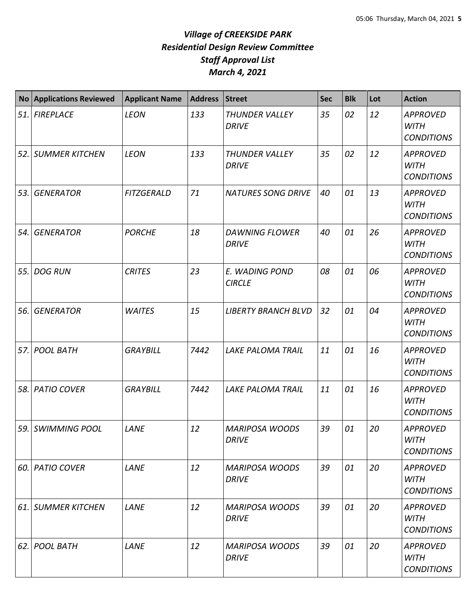| No  | <b>Applications Reviewed</b> | <b>Applicant Name</b> | <b>Address</b> | Street                                | <b>Sec</b> | <b>Blk</b> | Lot | <b>Action</b>                                       |
|-----|------------------------------|-----------------------|----------------|---------------------------------------|------------|------------|-----|-----------------------------------------------------|
|     | 51. FIREPLACE                | <b>LEON</b>           | 133            | <b>THUNDER VALLEY</b><br><b>DRIVE</b> | 35         | 02         | 12  | <b>APPROVED</b><br><b>WITH</b><br><b>CONDITIONS</b> |
|     | 52. SUMMER KITCHEN           | <b>LEON</b>           | 133            | THUNDER VALLEY<br><b>DRIVE</b>        | 35         | 02         | 12  | <b>APPROVED</b><br><b>WITH</b><br><b>CONDITIONS</b> |
| 53. | <b>GENERATOR</b>             | <b>FITZGERALD</b>     | 71             | <b>NATURES SONG DRIVE</b>             | 40         | 01         | 13  | <b>APPROVED</b><br><b>WITH</b><br><b>CONDITIONS</b> |
| 54. | <b>GENERATOR</b>             | <b>PORCHE</b>         | 18             | <b>DAWNING FLOWER</b><br><b>DRIVE</b> | 40         | 01         | 26  | <b>APPROVED</b><br><b>WITH</b><br><b>CONDITIONS</b> |
| 55. | <b>DOG RUN</b>               | <b>CRITES</b>         | 23             | E. WADING POND<br><b>CIRCLE</b>       | 08         | 01         | 06  | <b>APPROVED</b><br><b>WITH</b><br><b>CONDITIONS</b> |
| 56. | <b>GENERATOR</b>             | <b>WAITES</b>         | 15             | <b>LIBERTY BRANCH BLVD</b>            | 32         | 01         | 04  | <b>APPROVED</b><br><b>WITH</b><br><b>CONDITIONS</b> |
| 57. | <b>POOL BATH</b>             | <b>GRAYBILL</b>       | 7442           | <b>LAKE PALOMA TRAIL</b>              | 11         | 01         | 16  | <b>APPROVED</b><br><b>WITH</b><br><b>CONDITIONS</b> |
| 58. | <b>PATIO COVER</b>           | <b>GRAYBILL</b>       | 7442           | <b>LAKE PALOMA TRAIL</b>              | 11         | 01         | 16  | <b>APPROVED</b><br><b>WITH</b><br><b>CONDITIONS</b> |
|     | 59. SWIMMING POOL            | LANE                  | 12             | <b>MARIPOSA WOODS</b><br><b>DRIVE</b> | 39         | 01         | 20  | <b>APPROVED</b><br>WITH<br><b>CONDITIONS</b>        |
|     | 60. PATIO COVER              | LANE                  | 12             | <b>MARIPOSA WOODS</b><br><b>DRIVE</b> | 39         | 01         | 20  | <b>APPROVED</b><br><b>WITH</b><br><b>CONDITIONS</b> |
|     | 61. SUMMER KITCHEN           | LANE                  | 12             | <b>MARIPOSA WOODS</b><br><b>DRIVE</b> | 39         | 01         | 20  | <b>APPROVED</b><br><b>WITH</b><br><b>CONDITIONS</b> |
|     | 62. POOL BATH                | LANE                  | 12             | <b>MARIPOSA WOODS</b><br><b>DRIVE</b> | 39         | 01         | 20  | <b>APPROVED</b><br>WITH<br><b>CONDITIONS</b>        |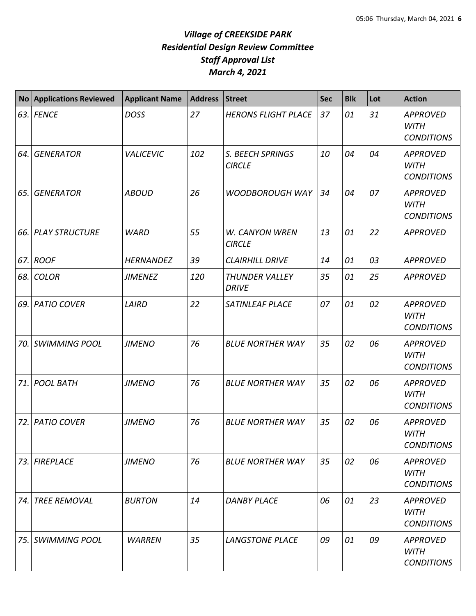| <b>No</b> | <b>Applications Reviewed</b> | <b>Applicant Name</b> | <b>Address</b> | <b>Street</b>                          | <b>Sec</b> | <b>Blk</b> | Lot | <b>Action</b>                                       |
|-----------|------------------------------|-----------------------|----------------|----------------------------------------|------------|------------|-----|-----------------------------------------------------|
| 63.       | <b>FENCE</b>                 | <b>DOSS</b>           | 27             | <b>HERONS FLIGHT PLACE</b>             | 37         | 01         | 31  | <b>APPROVED</b><br><b>WITH</b><br><b>CONDITIONS</b> |
| 64.       | <b>GENERATOR</b>             | <b>VALICEVIC</b>      | 102            | S. BEECH SPRINGS<br><b>CIRCLE</b>      | 10         | 04         | 04  | <b>APPROVED</b><br><b>WITH</b><br><b>CONDITIONS</b> |
| 65.       | <b>GENERATOR</b>             | <b>ABOUD</b>          | 26             | <b>WOODBOROUGH WAY</b>                 | 34         | 04         | 07  | <b>APPROVED</b><br><b>WITH</b><br><b>CONDITIONS</b> |
| 66.       | <b>PLAY STRUCTURE</b>        | <b>WARD</b>           | 55             | <b>W. CANYON WREN</b><br><b>CIRCLE</b> | 13         | 01         | 22  | <b>APPROVED</b>                                     |
| 67.       | <b>ROOF</b>                  | <b>HERNANDEZ</b>      | 39             | <b>CLAIRHILL DRIVE</b>                 | 14         | 01         | 03  | <b>APPROVED</b>                                     |
| 68.       | <b>COLOR</b>                 | <b>JIMENEZ</b>        | 120            | <b>THUNDER VALLEY</b><br><b>DRIVE</b>  | 35         | 01         | 25  | <b>APPROVED</b>                                     |
| 69.       | <b>PATIO COVER</b>           | LAIRD                 | 22             | <b>SATINLEAF PLACE</b>                 | 07         | 01         | 02  | <b>APPROVED</b><br><b>WITH</b><br><b>CONDITIONS</b> |
| 70.       | <b>SWIMMING POOL</b>         | <b>JIMENO</b>         | 76             | <b>BLUE NORTHER WAY</b>                | 35         | 02         | 06  | <b>APPROVED</b><br><b>WITH</b><br><b>CONDITIONS</b> |
| 71.       | <b>POOL BATH</b>             | <b>JIMENO</b>         | 76             | <b>BLUE NORTHER WAY</b>                | 35         | 02         | 06  | <b>APPROVED</b><br><b>WITH</b><br><b>CONDITIONS</b> |
| 72.       | <b>PATIO COVER</b>           | <b>JIMENO</b>         | 76             | <b>BLUE NORTHER WAY</b>                | 35         | 02         | 06  | <b>APPROVED</b><br><b>WITH</b><br><b>CONDITIONS</b> |
| 73.       | <b>FIREPLACE</b>             | <b>JIMENO</b>         | 76             | <b>BLUE NORTHER WAY</b>                | 35         | 02         | 06  | <b>APPROVED</b><br><b>WITH</b><br><b>CONDITIONS</b> |
| 74.       | <b>TREE REMOVAL</b>          | <b>BURTON</b>         | 14             | <b>DANBY PLACE</b>                     | 06         | 01         | 23  | <b>APPROVED</b><br><b>WITH</b><br><b>CONDITIONS</b> |
| 75.       | <b>SWIMMING POOL</b>         | <b>WARREN</b>         | 35             | <b>LANGSTONE PLACE</b>                 | 09         | 01         | 09  | <b>APPROVED</b><br><b>WITH</b><br><b>CONDITIONS</b> |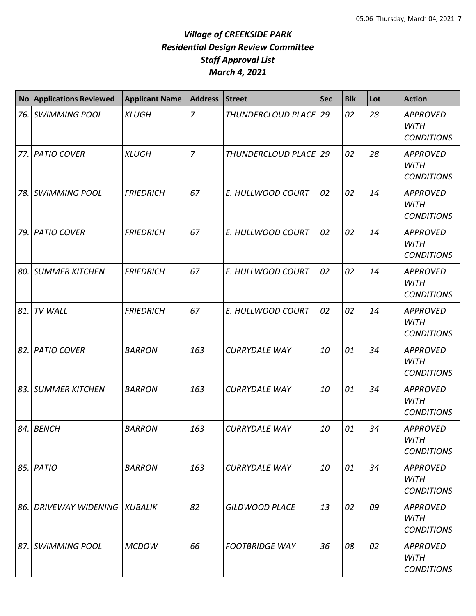| <b>No</b> | <b>Applications Reviewed</b> | <b>Applicant Name</b> | <b>Address</b> | <b>Street</b>           | <b>Sec</b> | <b>Blk</b> | Lot | <b>Action</b>                                       |
|-----------|------------------------------|-----------------------|----------------|-------------------------|------------|------------|-----|-----------------------------------------------------|
| 76.       | <b>SWIMMING POOL</b>         | <b>KLUGH</b>          | $\overline{z}$ | THUNDERCLOUD PLACE   29 |            | 02         | 28  | <b>APPROVED</b><br><b>WITH</b><br><b>CONDITIONS</b> |
| 77.       | <b>PATIO COVER</b>           | <b>KLUGH</b>          | $\overline{7}$ | THUNDERCLOUD PLACE   29 |            | 02         | 28  | <b>APPROVED</b><br><b>WITH</b><br><b>CONDITIONS</b> |
| 78.       | <b>SWIMMING POOL</b>         | <b>FRIEDRICH</b>      | 67             | E. HULLWOOD COURT       | 02         | 02         | 14  | <b>APPROVED</b><br><b>WITH</b><br><b>CONDITIONS</b> |
| 79.       | <b>PATIO COVER</b>           | <b>FRIEDRICH</b>      | 67             | E. HULLWOOD COURT       | 02         | 02         | 14  | <b>APPROVED</b><br><b>WITH</b><br><b>CONDITIONS</b> |
| 80.       | <b>SUMMER KITCHEN</b>        | <b>FRIEDRICH</b>      | 67             | E. HULLWOOD COURT       | 02         | 02         | 14  | <b>APPROVED</b><br><b>WITH</b><br><b>CONDITIONS</b> |
| 81.       | <b>TV WALL</b>               | <b>FRIEDRICH</b>      | 67             | E. HULLWOOD COURT       | 02         | 02         | 14  | <b>APPROVED</b><br><b>WITH</b><br><b>CONDITIONS</b> |
| 82.       | <b>PATIO COVER</b>           | <b>BARRON</b>         | 163            | <b>CURRYDALE WAY</b>    | 10         | 01         | 34  | <b>APPROVED</b><br><b>WITH</b><br><b>CONDITIONS</b> |
| 83.       | <b>SUMMER KITCHEN</b>        | <b>BARRON</b>         | 163            | <b>CURRYDALE WAY</b>    | 10         | 01         | 34  | <b>APPROVED</b><br><b>WITH</b><br><b>CONDITIONS</b> |
| 84.       | <b>BENCH</b>                 | <b>BARRON</b>         | 163            | <b>CURRYDALE WAY</b>    | 10         | 01         | 34  | <b>APPROVED</b><br>WITH<br><b>CONDITIONS</b>        |
| 85.       | <b>PATIO</b>                 | <b>BARRON</b>         | 163            | <b>CURRYDALE WAY</b>    | 10         | 01         | 34  | <b>APPROVED</b><br><b>WITH</b><br><b>CONDITIONS</b> |
| 86.       | <b>DRIVEWAY WIDENING</b>     | KUBALIK               | 82             | <b>GILDWOOD PLACE</b>   | 13         | 02         | 09  | <b>APPROVED</b><br><b>WITH</b><br><b>CONDITIONS</b> |
| 87.       | <b>SWIMMING POOL</b>         | <b>MCDOW</b>          | 66             | <b>FOOTBRIDGE WAY</b>   | 36         | 08         | 02  | <b>APPROVED</b><br><b>WITH</b><br><b>CONDITIONS</b> |